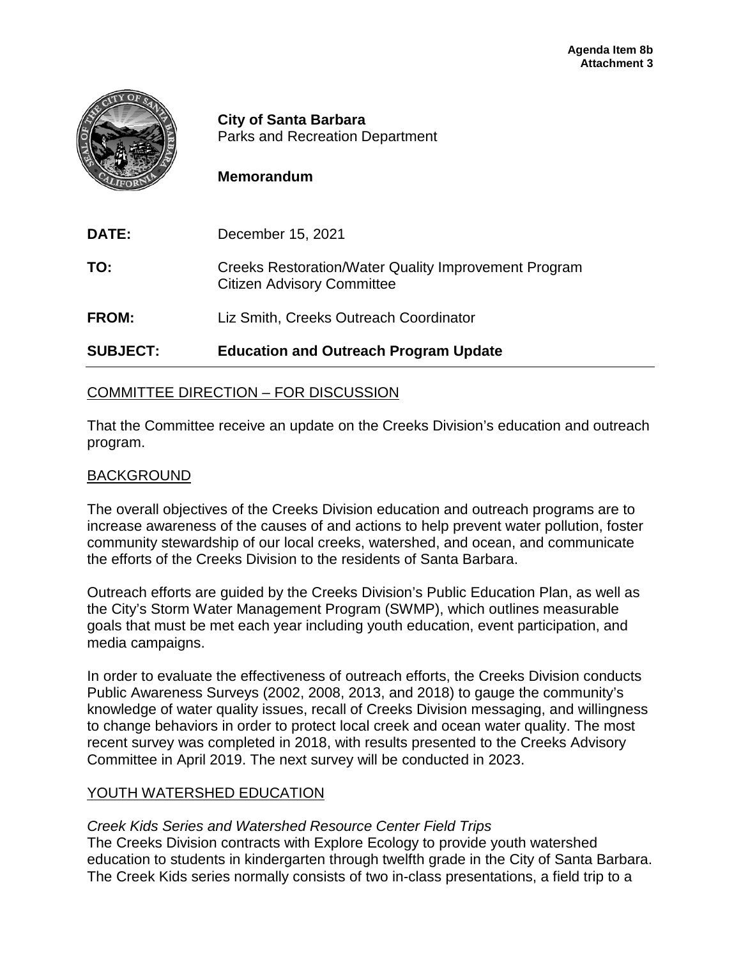

**City of Santa Barbara** Parks and Recreation Department

# **Memorandum**

| <b>SUBJECT:</b> | <b>Education and Outreach Program Update</b>                                                     |
|-----------------|--------------------------------------------------------------------------------------------------|
| <b>FROM:</b>    | Liz Smith, Creeks Outreach Coordinator                                                           |
| TO:             | <b>Creeks Restoration/Water Quality Improvement Program</b><br><b>Citizen Advisory Committee</b> |
| <b>DATE:</b>    | December 15, 2021                                                                                |

# COMMITTEE DIRECTION – FOR DISCUSSION

That the Committee receive an update on the Creeks Division's education and outreach program.

# BACKGROUND

The overall objectives of the Creeks Division education and outreach programs are to increase awareness of the causes of and actions to help prevent water pollution, foster community stewardship of our local creeks, watershed, and ocean, and communicate the efforts of the Creeks Division to the residents of Santa Barbara.

Outreach efforts are guided by the Creeks Division's Public Education Plan, as well as the City's Storm Water Management Program (SWMP), which outlines measurable goals that must be met each year including youth education, event participation, and media campaigns.

In order to evaluate the effectiveness of outreach efforts, the Creeks Division conducts Public Awareness Surveys (2002, 2008, 2013, and 2018) to gauge the community's knowledge of water quality issues, recall of Creeks Division messaging, and willingness to change behaviors in order to protect local creek and ocean water quality. The most recent survey was completed in 2018, with results presented to the Creeks Advisory Committee in April 2019. The next survey will be conducted in 2023.

# YOUTH WATERSHED EDUCATION

## *Creek Kids Series and Watershed Resource Center Field Trips*

The Creeks Division contracts with Explore Ecology to provide youth watershed education to students in kindergarten through twelfth grade in the City of Santa Barbara. The Creek Kids series normally consists of two in-class presentations, a field trip to a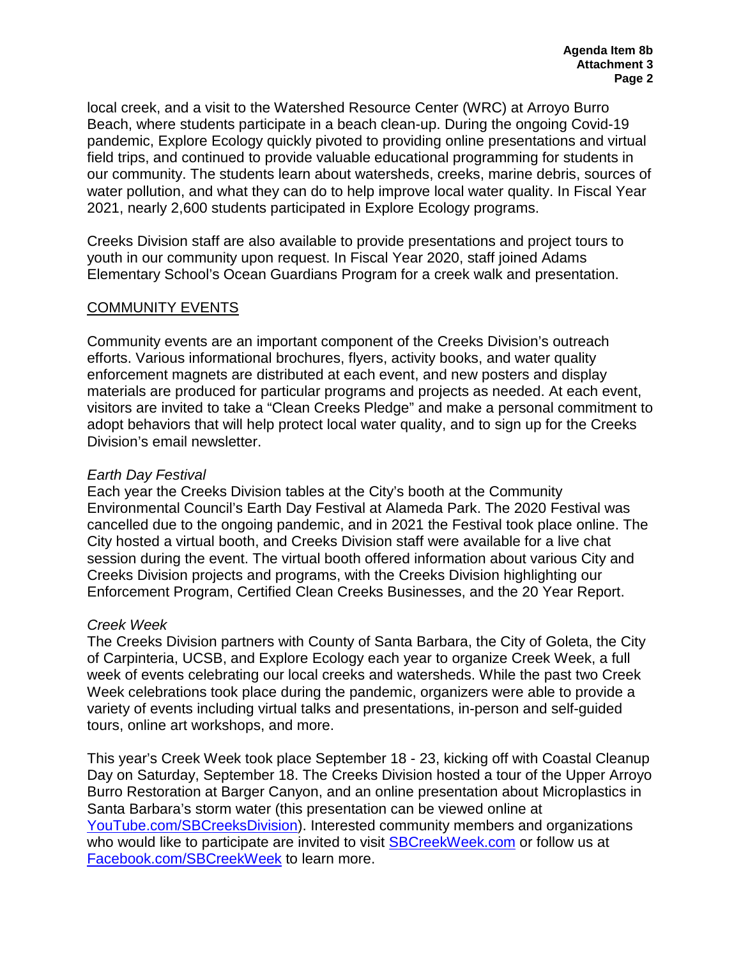local creek, and a visit to the Watershed Resource Center (WRC) at Arroyo Burro Beach, where students participate in a beach clean-up. During the ongoing Covid-19 pandemic, Explore Ecology quickly pivoted to providing online presentations and virtual field trips, and continued to provide valuable educational programming for students in our community. The students learn about watersheds, creeks, marine debris, sources of water pollution, and what they can do to help improve local water quality. In Fiscal Year 2021, nearly 2,600 students participated in Explore Ecology programs.

Creeks Division staff are also available to provide presentations and project tours to youth in our community upon request. In Fiscal Year 2020, staff joined Adams Elementary School's Ocean Guardians Program for a creek walk and presentation.

# COMMUNITY EVENTS

Community events are an important component of the Creeks Division's outreach efforts. Various informational brochures, flyers, activity books, and water quality enforcement magnets are distributed at each event, and new posters and display materials are produced for particular programs and projects as needed. At each event, visitors are invited to take a "Clean Creeks Pledge" and make a personal commitment to adopt behaviors that will help protect local water quality, and to sign up for the Creeks Division's email newsletter.

## *Earth Day Festival*

Each year the Creeks Division tables at the City's booth at the Community Environmental Council's Earth Day Festival at Alameda Park. The 2020 Festival was cancelled due to the ongoing pandemic, and in 2021 the Festival took place online. The City hosted a virtual booth, and Creeks Division staff were available for a live chat session during the event. The virtual booth offered information about various City and Creeks Division projects and programs, with the Creeks Division highlighting our Enforcement Program, Certified Clean Creeks Businesses, and the 20 Year Report.

# *Creek Week*

The Creeks Division partners with County of Santa Barbara, the City of Goleta, the City of Carpinteria, UCSB, and Explore Ecology each year to organize Creek Week, a full week of events celebrating our local creeks and watersheds. While the past two Creek Week celebrations took place during the pandemic, organizers were able to provide a variety of events including virtual talks and presentations, in-person and self-guided tours, online art workshops, and more.

This year's Creek Week took place September 18 - 23, kicking off with Coastal Cleanup Day on Saturday, September 18. The Creeks Division hosted a tour of the Upper Arroyo Burro Restoration at Barger Canyon, and an online presentation about Microplastics in Santa Barbara's storm water (this presentation can be viewed online at [YouTube.com/SBCreeksDivision\)](http://www.youtube.com/SBCreeksDivision). Interested community members and organizations who would like to participate are invited to visit [SBCreekWeek.com](http://sbcreekweek.com/) or follow us at [Facebook.com/SBCreekWeek](http://www.facebook.com/sbcreekweek) to learn more.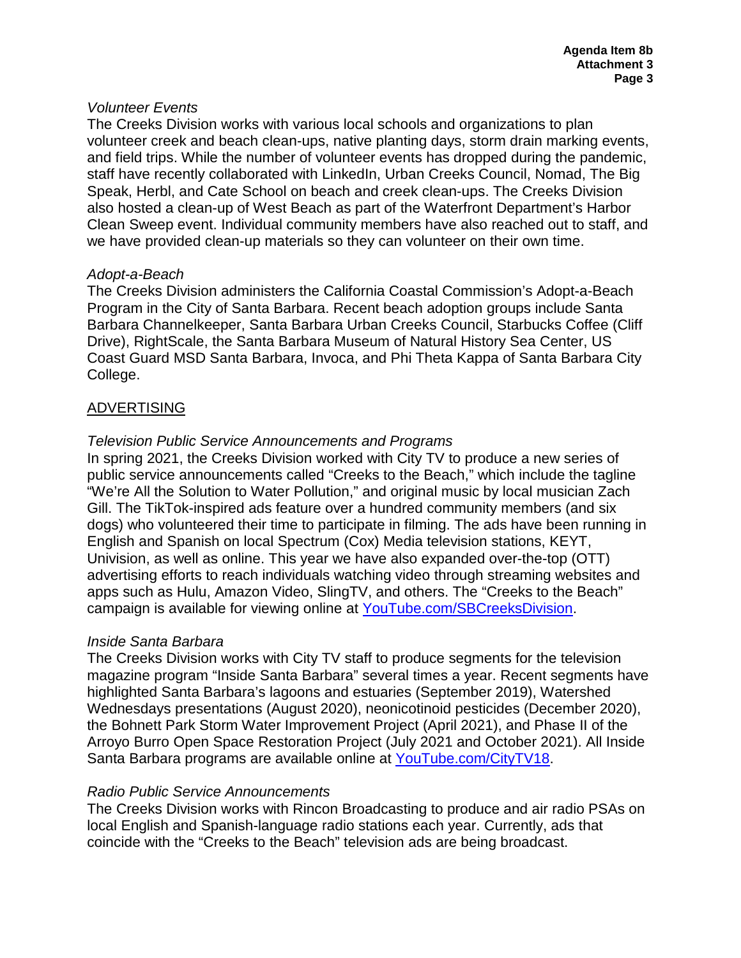## *Volunteer Events*

The Creeks Division works with various local schools and organizations to plan volunteer creek and beach clean-ups, native planting days, storm drain marking events, and field trips. While the number of volunteer events has dropped during the pandemic, staff have recently collaborated with LinkedIn, Urban Creeks Council, Nomad, The Big Speak, Herbl, and Cate School on beach and creek clean-ups. The Creeks Division also hosted a clean-up of West Beach as part of the Waterfront Department's Harbor Clean Sweep event. Individual community members have also reached out to staff, and we have provided clean-up materials so they can volunteer on their own time.

#### *Adopt-a-Beach*

The Creeks Division administers the California Coastal Commission's Adopt-a-Beach Program in the City of Santa Barbara. Recent beach adoption groups include Santa Barbara Channelkeeper, Santa Barbara Urban Creeks Council, Starbucks Coffee (Cliff Drive), RightScale, the Santa Barbara Museum of Natural History Sea Center, US Coast Guard MSD Santa Barbara, Invoca, and Phi Theta Kappa of Santa Barbara City College.

# ADVERTISING

## *Television Public Service Announcements and Programs*

In spring 2021, the Creeks Division worked with City TV to produce a new series of public service announcements called "Creeks to the Beach," which include the tagline "We're All the Solution to Water Pollution," and original music by local musician Zach Gill. The TikTok-inspired ads feature over a hundred community members (and six dogs) who volunteered their time to participate in filming. The ads have been running in English and Spanish on local Spectrum (Cox) Media television stations, KEYT, Univision, as well as online. This year we have also expanded over-the-top (OTT) advertising efforts to reach individuals watching video through streaming websites and apps such as Hulu, Amazon Video, SlingTV, and others. The "Creeks to the Beach" campaign is available for viewing online at [YouTube.com/SBCreeksDivision.](http://www.youtube.com/sbcreeksdivision.%20In%20March%202015)

## *Inside Santa Barbara*

The Creeks Division works with City TV staff to produce segments for the television magazine program "Inside Santa Barbara" several times a year. Recent segments have highlighted Santa Barbara's lagoons and estuaries (September 2019), Watershed Wednesdays presentations (August 2020), neonicotinoid pesticides (December 2020), the Bohnett Park Storm Water Improvement Project (April 2021), and Phase II of the Arroyo Burro Open Space Restoration Project (July 2021 and October 2021). All Inside Santa Barbara programs are available online at [YouTube.com/CityTV18.](http://www.youtube.com/CityTV18)

## *Radio Public Service Announcements*

The Creeks Division works with Rincon Broadcasting to produce and air radio PSAs on local English and Spanish-language radio stations each year. Currently, ads that coincide with the "Creeks to the Beach" television ads are being broadcast.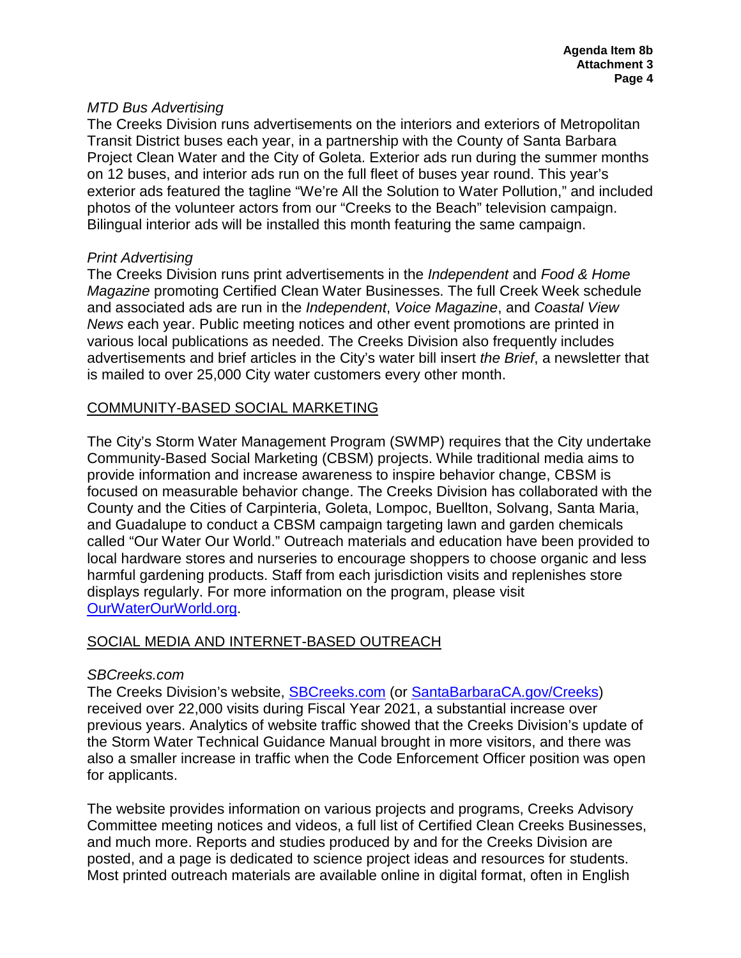#### *MTD Bus Advertising*

The Creeks Division runs advertisements on the interiors and exteriors of Metropolitan Transit District buses each year, in a partnership with the County of Santa Barbara Project Clean Water and the City of Goleta. Exterior ads run during the summer months on 12 buses, and interior ads run on the full fleet of buses year round. This year's exterior ads featured the tagline "We're All the Solution to Water Pollution," and included photos of the volunteer actors from our "Creeks to the Beach" television campaign. Bilingual interior ads will be installed this month featuring the same campaign.

#### *Print Advertising*

The Creeks Division runs print advertisements in the *Independent* and *Food & Home Magazine* promoting Certified Clean Water Businesses. The full Creek Week schedule and associated ads are run in the *Independent*, *Voice Magazine*, and *Coastal View News* each year. Public meeting notices and other event promotions are printed in various local publications as needed. The Creeks Division also frequently includes advertisements and brief articles in the City's water bill insert *the Brief*, a newsletter that is mailed to over 25,000 City water customers every other month.

# COMMUNITY-BASED SOCIAL MARKETING

The City's Storm Water Management Program (SWMP) requires that the City undertake Community-Based Social Marketing (CBSM) projects. While traditional media aims to provide information and increase awareness to inspire behavior change, CBSM is focused on measurable behavior change. The Creeks Division has collaborated with the County and the Cities of Carpinteria, Goleta, Lompoc, Buellton, Solvang, Santa Maria, and Guadalupe to conduct a CBSM campaign targeting lawn and garden chemicals called "Our Water Our World." Outreach materials and education have been provided to local hardware stores and nurseries to encourage shoppers to choose organic and less harmful gardening products. Staff from each jurisdiction visits and replenishes store displays regularly. For more information on the program, please visit [OurWaterOurWorld.org.](http://www.ourwaterourworld.org/)

## SOCIAL MEDIA AND INTERNET-BASED OUTREACH

## *SBCreeks.com*

The Creeks Division's website, **SBCreeks.com** (or **SantaBarbaraCA.gov/Creeks**) received over 22,000 visits during Fiscal Year 2021, a substantial increase over previous years. Analytics of website traffic showed that the Creeks Division's update of the Storm Water Technical Guidance Manual brought in more visitors, and there was also a smaller increase in traffic when the Code Enforcement Officer position was open for applicants.

The website provides information on various projects and programs, Creeks Advisory Committee meeting notices and videos, a full list of Certified Clean Creeks Businesses, and much more. Reports and studies produced by and for the Creeks Division are posted, and a page is dedicated to science project ideas and resources for students. Most printed outreach materials are available online in digital format, often in English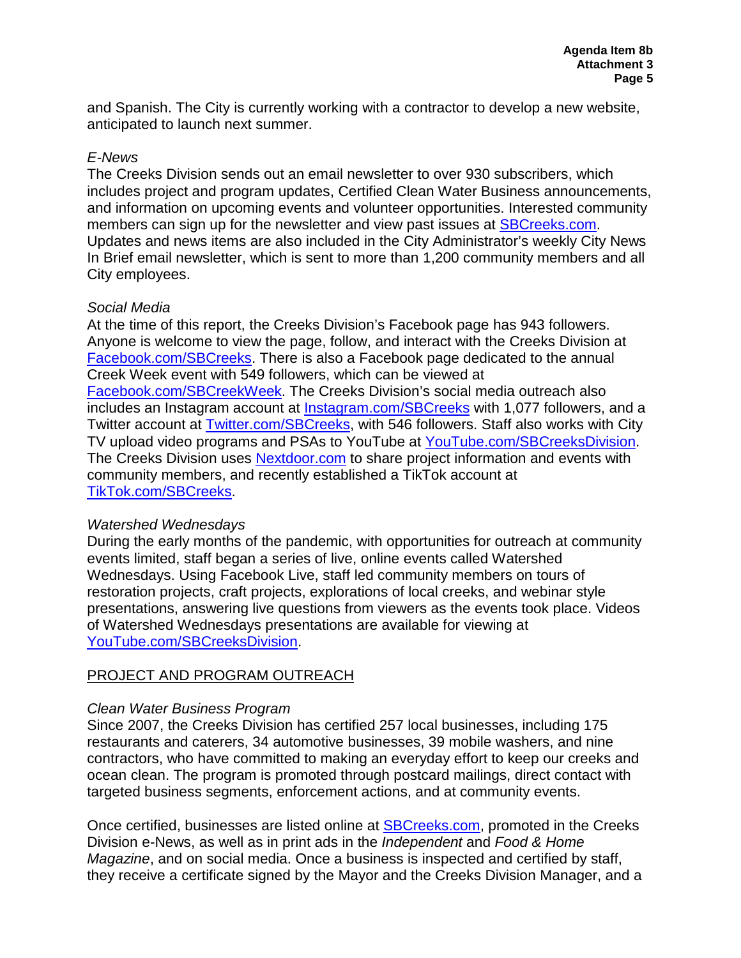and Spanish. The City is currently working with a contractor to develop a new website, anticipated to launch next summer.

# *E-News*

The Creeks Division sends out an email newsletter to over 930 subscribers, which includes project and program updates, Certified Clean Water Business announcements, and information on upcoming events and volunteer opportunities. Interested community members can sign up for the newsletter and view past issues at [SBCreeks.com.](http://www.sbcreeks.com/) Updates and news items are also included in the City Administrator's weekly City News In Brief email newsletter, which is sent to more than 1,200 community members and all City employees.

## *Social Media*

At the time of this report, the Creeks Division's Facebook page has 943 followers. Anyone is welcome to view the page, follow, and interact with the Creeks Division at [Facebook.com/SBCreeks.](http://www.facebook.com/SBCreeks) There is also a Facebook page dedicated to the annual Creek Week event with 549 followers, which can be viewed at [Facebook.com/SBCreekWeek.](http://www.facebook.com/SBCreekWeek) The Creeks Division's social media outreach also includes an Instagram account at [Instagram.com/SBCreeks](http://instagram.com/SBCreeks) with 1,077 followers, and a Twitter account at **Twitter.com/SBCreeks**, with 546 followers. Staff also works with City TV upload video programs and PSAs to YouTube at [YouTube.com/SBCreeksDivision.](http://www.youtube.com/sbcreeksdivision) The Creeks Division uses [Nextdoor.com](http://www.nextdoor.com/) to share project information and events with community members, and recently established a TikTok account at [TikTok.com/SBCreeks.](http://www.tiktok.com/SBCreeks)

# *Watershed Wednesdays*

During the early months of the pandemic, with opportunities for outreach at community events limited, staff began a series of live, online events called Watershed Wednesdays. Using Facebook Live, staff led community members on tours of restoration projects, craft projects, explorations of local creeks, and webinar style presentations, answering live questions from viewers as the events took place. Videos of Watershed Wednesdays presentations are available for viewing at [YouTube.com/SBCreeksDivision.](http://www.youtube.com/SBCreeksDivision)

# PROJECT AND PROGRAM OUTREACH

# *Clean Water Business Program*

Since 2007, the Creeks Division has certified 257 local businesses, including 175 restaurants and caterers, 34 automotive businesses, 39 mobile washers, and nine contractors, who have committed to making an everyday effort to keep our creeks and ocean clean. The program is promoted through postcard mailings, direct contact with targeted business segments, enforcement actions, and at community events.

Once certified, businesses are listed online at [SBCreeks.com,](http://www.sbcreeks.com/) promoted in the Creeks Division e-News, as well as in print ads in the *Independent* and *Food & Home Magazine*, and on social media. Once a business is inspected and certified by staff, they receive a certificate signed by the Mayor and the Creeks Division Manager, and a